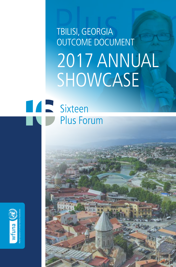# TBILISI, GEORGIA OUTCOME DOCUMENT 2017 ANNUAL SHOWCASE

# **TAN Sixteen Plus Forum**

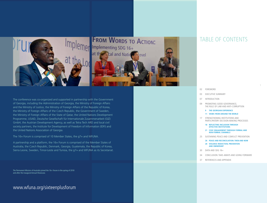

**FROM WORDS TO ACTION:** Implementing SDG 16+ **Cal and Natid** at th Revel

The conference was co-organized and supported in partnership with the Government of Georgia, including the Administration of Georgia, the Ministry of Foreign Affairs and the Ministry of Justice, the Ministry of Foreign Affairs of the Republic of Korea, the Ministry of Foreign Affairs of the Czech Republic, the Government of Sweden, the Ministry of Foreign Affairs of the State of Qatar, the United Nations Development Programme, USAID, Deutsche Gesellschaft für Internationale Zusammenarbeit (GIZ) GmbH, the Austrian Development Agency, as well as Tetra Tech ARD and local civil society partners, the Institute for Development of Freedom of Information (IDFI) and the United Nations Association of Georgia.

The 16+ Forum is comprised of 10 Member States, the g7+ and WFUNA.

A partnership and a platform, the 16+ Forum is comprised of the Member States of Australia, the Czech Republic, Denmark, Georgia, Guatemala, the Republic of Korea, Sierra Leone, Sweden, Timor-Leste and Tunisia, the g7+ and WFUNA as its Secretariat.

The Permanent Mission of Australia joined the 16+ Forum in the spring of 2018 and after the inaugural Annual Showcase.

### www.wfuna.org/sixteenplusforum

### TABLE OF CONTENTS

- 02 FOREWORD
- 03 EXECUTIVE SUMMARY
- 07 INTRODUCTION
- 09 PROMOTING GOOD GOVERNANCE, THE RULE OF LAW AND ANTI-CORRUPTION

1

- **9 THE GEORGIAN EXPERIENCE**
- **11 VIEWS FROM AROUND THE WORLD**
- 17 STRENGTHENING INSTITUTIONS AND PARTICIPATORY DECISION-MAKING PROCESSES
	- **18 REFLECTING INCLUSION THROUGH EFFECTIVE INSTITUTIONS**
	- **21 CIVIC ENGAGEMENT THROUGH FORMAL AND NON-FORMAL CHANNELS**
- 25 SUSTAINING PEACE AND CONFLICT PREVENTION
	- **26 PEACE AND RECONCILIATION: THEN AND NOW 28 VIOLENCE REDUCTION, PREVENTION AND OWNERSHIP**
- 30 DATA AND SDG 16+
- 34 CONCLUSION: TAKE-AWAYS AND GOING FORWARD
- 37 REFERENCES AND APPENDIX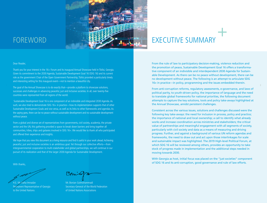

# EXECUTIVE SUMMARY

## FOREWORD

#### Dear Reader,

Thank you for your interest in the 16+ Forum and its inaugural Annual Showcase held in Tbilisi, Georgia. Given its commitment to the 2030 Agenda, Sustainable Development Goal 16 (SDG 16) and its current role as the government Chair of the Open Government Partnership, Tbilisi provided a particularly timely and interesting setting for this inaugural event—not to mention a beautiful city.

2 3 The goal of the Annual Showcase is to do exactly that—provide a platform to showcase solutions, successes and challenges in advancing peaceful, just and inclusive societies. In all, over twenty-five countries were represented from all regions of the world.

 Sustainable Development Goal 16 is one component of an indivisible and integrated 2030 Agenda. As such, we also tried to demonstrate SDG 16+ in practice—how its implementation supports that of other Sustainable Development Goals and vice versa, as well as its links to other frameworks and agendas. As the saying goes, there can be no peace without sustainable development and no sustainable development without peace.

From a global and diverse set of representatives from governments, civil society, academia, the private sector and the UN, this gathering provided a space to break down barriers and bring together all communities, tribes, ships and galaxies involved in SDG 16+. We would like to thank all who participated and offered their experience and insights.

We hope that you view this document as a living resource and find it useful in your work ahead. Achieving peaceful, just and inclusive societies is an ambitious goal. Yet through our collective efforts—from intergovernmental cooperation to multi-stakeholder and global partnerships, we will continue in our pursuit of its realization and that of the larger 2030 Agenda for Sustainable Development.

With thanks,

Kaha Imnadze

Permanent Representative of Georgia to the United Nations

Mr. Bonian Golmohammadi Secretary-General of the World Federation of United Nations Associations

From the rule of law to participatory decision-making, violence reduction and the promotion of peace, Sustainable Development Goal 16 offers a transformative component of an indivisible and interdependent 2030 Agenda for Sustainable Development. As there can be no peace without development, there can be no development without peace. The following is an attempt to articulate SDG 16+ in practice—in policy, programming and the issues embedded therein.

From anti-corruption reforms, regulatory assessments, e-governance, and laws of political parity, to youth-driven policy, the importance of language and the need to translate global frameworks for national priorities, the following document attempts to capture the key solutions, tools and policy take-aways highlighted at the Annual Showcase, amidst persistent challenges.

Consistent across the various issues, solutions and challenges discussed were the following key take-aways: the need for inclusion in process, policy and practice; the importance of national and local ownership; a call to identify what already works and increase coordination across ministries and stakeholders; the critical value of partnerships and meaningful engagement with all segments of society, particularly with civil society and data as a means of measuring and driving progress. Further, and against a background of various UN reform agendas and frameworks, the need to draw out and act upon those interlinkages for scale and sustainable impact was highlighted. The 2019 High-level Political Forum, at which SDG 16 will be reviewed among others, provides an opportunity to take stock of progress made in implementation and the additional steps needed in moving towards 2030.

With Georgia as host, initial focus was placed on the "just societies" component of SDG 16 and its anti-corruption, good governance and rule of law efforts.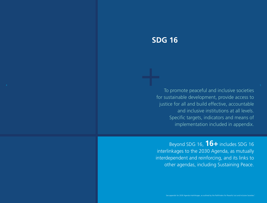## **SDG 16**

To promote peaceful and inclusive societies for sustainable development, provide access to justice for all and build effective, accountable and inclusive institutions at all levels. Specific targets, indicators and means of implementation included in appendix.

Beyond SDG 16, **16+** includes SDG 16 interlinkages to the 2030 Agenda, as mutually interdependent and reinforcing, and its links to other agendas, including Sustaining Peace.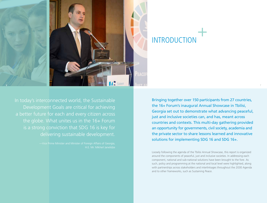

# INTRODUCTION

In today's interconnected world, the Sustainable Development Goals are critical for achieving a better future for each and every citizen across the globe. What unites us in the 16+ Forum is a strong conviction that SDG 16 is key for delivering sustainable development.

H.E. Mr. Mikheil Janelidze

Bringing together over 150 participants from 27 countries, the 16+ Forum's inaugural Annual Showcase in Tbilisi, Georgia set out to demonstrate what advancing peaceful, just and inclusive societies can, and has, meant across countries and contexts. This multi-day gathering provided an opportunity for governments, civil society, academia and the private sector to share lessons learned and innovative solutions for implementing SDG 16 and SDG 16+.

Loosely following the agenda of the Tbilisi Annual Showcase, this report is organized around the components of peaceful, just and inclusive societies. In addressing each component, national and sub-national solutions have been brought to the fore. As such, policy and programming at the national and local level were highlighted, along with partnerships across stakeholders and interlinkages throughout the 2030 Agenda and to other frameworks, such as Sustaining Peace.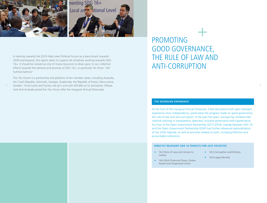

In looking towards the 2019 High-Level Political Forum as a benchmark towards 2030 and beyond, this report seeks to support all initiatives working towards SDG 16+. It should be viewed as one of many resources to draw upon in our collective efforts towards the delivery and promise of SDG 16+, in particular for those "left

8 8 Sweden, Timor-Leste and Tunisia, the g7+ and with WFUNA as its Secretariat. (Please 3 And 2011) 8 Sweden, Timor-Leste and Tunisia, the g7+ and with WFUNA as its Secretariat. (Please 3 And 2012) 8 And 2012 12: 12: 12: 1 The 16+ Forum is a partnership and platform of ten member states, including Australia, the Czech Republic, Denmark, Georgia, Guatemala, the Republic of Korea, Sierra Leone, note that Australia joined the 16+ Forum after the inaugural Annual Showcase).

furthest behind."

# PROMOTING GOOD GOVERNANCE, THE RULE OF LAW AND ANTI-CORRUPTION

#### **THE GEORGIAN EXPERIENCE**

As the host of the inaugural Annual Showcase, initial discussions built upon Georgia's experience since independence, particularly the progress made on good governance, the rule of law and anti-corruption. In the past five years, Georgia has climbed international rankings in transparency, openness, inclusive governance and e-governance. As Chair of the Open Government Partnership (2017-2018), overlap between SDG 16 and the Open Government Partnership (OGP) has further advanced nationalization of the 2030 Agenda, as well as priorities related to both, including effective and accountable institutions.

#### **DIRECTLY RELEVANT SDG 16 TARGETS FOR JUST SOCIETIES**

- + 16.3 Rule of Law and Access to Justice
- + 16.4 Illicit Financial Flows, Stolen Assets and Organized Crime
- + 16.5 Corruption and Bribery
- + 16.9 Legal Identity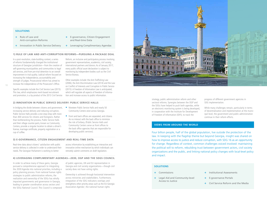#### **SOLUTIONS**

10

- + Rule of Law and Anti-corruption Reforms
- + E-governance, Citizen Engagement and Real-time Data
- + Innovation in Public Service Delivery
- + Leveraging Complimentary Agendas

Reform, an inclusive and participatory process involving government representatives, academics, civil society, international partners and donors. As of January 2017, every public official asset declaration is subject to monitoring by independent bodies such as the Civil

#### **1) RULE OF LAW AND ANTI-CORRUPTION REFORMS—PURSUING A PACKAGE DEAL**

Service Bureau.

In a post-revolution, state-building context, a series of reforms fundamentally changed the institutional structure of Georgian jurisdiction—from the creation of self-governing municipalities and communities to legal aid services, and from pre-trial detention to an overall improvement in trial quality. Judicial reform focused on increasing the independence, accountability and strength of judges. Prosecutorial reform has aimed to increase the independence of the Prosecutor's Office.

Specific examples include the Civil Service Law (2015). This law, which emphasizes merit-based recruitment and promotion, is a by-product of the 2013 Civil Service

**2) INNOVATION IN PUBLIC SERVICE DELIVERY: PUBLIC SERVICE HALLS**

In bridging the divide between citizens and government, increasing service delivery and reducing corruption, Public Service Halls provide a one-stop-shop with more than 400 services for citizens and foreigners. Rather than bottlenecking the process, Public Service Halls and their village counter-parts, known as Community Centers, provide a singular location to obtain a driver's license, marriage certificate, property registration or a cup of coffee.

Nineteen Public Service Halls and nearly 50 Community Centers exist across Georgia.

Other examples include: the Anti-Trafficking Law (2006), the Anti-Discrimination Law (2014) and the Law on Conflict of Interests and Corruption in Public Service (2015). A Freedom of Information Law is anticipated, which will regulate all aspects of freedom of information and increase access to public information.

Front and back offices are separated, and citizens do no interact with the back office to minimize the risk of bribery. (Public Service Halls and Community Centers serve as front offices to the back office agencies that are responsible for developing public services).

#### **3) E-GOVERNANCE, CITIZEN ENGAGEMENT AND REAL-TIME DATA**

Real-time data about citizens' satisfaction with public service delivery is collected in order to understand their needs. The Georgian Parliament is working to better

access information by establishing an interactive and innovative online mechanism by which individuals can remotely submit comments on draft legislation.

#### **4) LEVERAGING COMPLIMENTARY AGENDAS—2030, OGP AND THE SDGS COUNCIL**

In order to achieve many of these gains, Georgia pursued a comprehensive approach to integrating the 2030 Agenda into national priorities, including a policy planning process. From national human rights strategies to public administration reforms, the realization and ownership of the SDGs has wholly impacted governments and governance in Georgia, leading to greater coordination across sectors and the SDGs National Council. This Council is composed

of public agencies, UN and EU representation in Georgia and civil society organizations—though civil society does not have voting rights.

Ownership is achieved through horizontal intervention across ministries and stakeholders. Furthermore, integration of the SDG indicators overlaps and strengthens other priority areas such as the EU-Georgia Association Agenda<sup>2</sup>, the national human rights



strategy, public administration reform and other sectoral reforms. Synergies between the OGP and the SDGs have helped to push both agendas, while an electronic monitoring system is being developed, in cooperation with the Institute for Development of Freedom of Information (IDFI), to track the

progress of different government agencies in SDG implementation.

While many challenges remain, particularly in terms of decentralization and implementation at the municipal level, the government and public administration continue in their reform efforts.

#### **VIEWS FROM AROUND THE WORLD**

Four billion people, half of the global population, live outside the protection of the law. In keeping with the flagship theme but beyond Georgia, insight was shared on how to improve access to justice and reduce corruption, with SDG 16 as an opportunity for change. Regardless of context, common challenges voiced involved: maintaining the political will to reform, rebuilding trust between government actors, civil society organizations and the public, and linking national policy changes with local-level policy and impact.

#### **SOLUTIONS**

- + Commissions
- + Legal Aid and Community-level Access to Justice
- **Institutional Assessments**
- + E-governance Portals
- + Civil Service Reform and the Media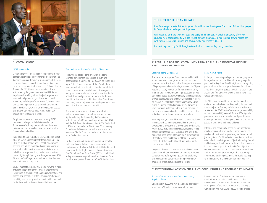

#### **1) COMMISSIONS**

#### CICIG, Guatemala

Operating for over a decade in cooperation with four democratically-elected governments, the International Commission Against Impunity in Guatemala (CICIG) is an internationally-supported investigative body that Guatemala, CICIG has a hybrid mandate. It was authorized by the government and the U.N. Secretary-General, working within the justice system and with national prosecutors, to dismantle criminal structures, including mafia networks, fight corruption and combat impunity. In contrast with other international mechanisms, CICIG is an independent investigative entity that operates under Guatemalan law, producing mixed results at times.

Despite an increase in power and capacity, CICIG has faced challenges in jurisdiction and scope. To be successful, it requires both international and national support, as well as close cooperation with Guatemalan authorities.

In addition to anti-corruption, CICIG addresses target 16.9 on providing legal identity for all. Without legal identity, children cannot access health or education services, and adults cannot participate in political life and are forced to work in informal markets. In short, individuals are systematically denied access to their human rights, highlighting interlinkages between SDG 16 and the 2030 Agenda, as well as to other international priorities and agendas.

CICIG's mandate ends in 2019. Going forward, it will be critical to ensure the transfer of its functions for the institutional sustainability of ongoing investigations and procedures. Regardless of the Commission's future, its capability and capacity need to remain within national institutions, as it carries out its constitutional role.

#### Truth and Reconciliation Commission, Sierra Leone

nosecutes cases in Guatemalan courts<sup>3</sup>. Requested by were many factors hoth internal and external that the service of legal representation and advice, the Alternative Dispute paralegals as a link to legal aid services for Following its decade-long civil war, the Sierra Leonean government established a Truth and Reconciliation Commission in 2002. In its concluding report<sup>4</sup>, the Commission noted that "while there were many factors, both internal and external, that explain the cause of the civil war….it was years of bad governance, endemic corruption and the denial of basic human rights that created the deplorable conditions that made conflict inevitable." For Sierra Leoneans, access to justice and good governance has been critical to the country's transition.

> A series of reforms were subsequently introduced with a focus on justice, the rule of law and human rights, including the Human Rights Commission, (established in 2006 and made operational in 2007), and the Anti-Corruption Commission (ACC). Established in 2000, and amended in 2008, the ACC is the only Commission in West Africa that has the power to prosecute. The ACC also spurred the creation of the Asset Declaration System.

> Further reforms and legislation stemming from the Truth and Reconciliation Commission include the establishment of a Legal Aid Board (2012) addressed subsequently, the Right to Access Information Law (2013) and an Open Data Portal (2015). Established to improve access to public services, the Open Data Portal is also part of Sierra Leone's OGP Action Plan.

#### **THE DIFFERENCE OF AN ID CARD**

Haja from Kenya repeatedly tried to get an ID-card for more than 8 years. She is one of five million people in Kenya who face challenges in this process.

Without an ID-card, she could not get a job, apply for a bank loan, or enroll in university, effectively excluded from participating fully in society. Yet, through a paralegal in her community who helped her with the process, documentation and advocacy, she finally received her ID.

Her next step: applying for birth-registrations for her children so they can go to school.

**2) LEGAL AID BOARDS, COMMUNITY PARALEGALS, AND INFORMAL DISPUTE RESOLUTION MECHANISM**

#### Legal Aid Board, Sierra Leone

The Sierra Leone Legal Aid Board was formed in 2012, with a mandate to strengthen access to formal and informal courts. The Board assists through the provision of legal representation and advice, the Alternative Dispute Resolution (ADR) mechanism for non-criminal cases, informal court monitoring and legal education through community-based outreach. Ultimately, the objective is to provide legal counsel and community paralegals in all local courts, while establishing citizens' community advice bureaus. Human rights clinics and civic education in universities are further intended to build community capacity in understanding the legal landscape, so that individuals can better advocate for themselves.

Since July 2017, the Board has held over 30 consultative meetings with community stakeholders in working towards crime avoidance and preventative mechanisms. Nearly 6,000 marginalized individuals, including young people, have received legal assistance and over 1,000 cases have been resolved through the ADR mechanism. Offices have been established in at least 8 of Sierra Leone's 16 districts, with 41 paralegals and at least 2 present in each district.

Despite challenges and inconsistent implementation, out of the Truth and Reconciliation Commission came constitutional reform, open government reforms, anti-corruption institutions and empowerment of grassroots efforts around access to justice.

#### Legal Aid Act, Kenya

In Kenya, community paralegals and lawyers, supported by organizations such as Namati, recently helped to pass the first Legal Aid Act (2016), formally recognizing paralegals as a link to legal aid services for citizens. Since then, Kenya has passed several acts, such as the Access to Information Act, which are in line with SDG targets and matrixes.

The SDGs have helped to bring together paralegals and government officials working on legal reform and access to justice. Further, toolkits such as Advocacy: Justice and the SDGs<sup>5</sup> by the Transparency, Accountability & Participation (TAP) Network for the 2030 Agenda provide a resource for activists and practitioners working to promote legal empowerment and access to justice at grassroots and national levels.

Informal and community-based dispute resolution mechanisms can further address shortcomings of weakened, destroyed or previously exclusive formal justice systems. Conflict-affected countries, in particular, often inherit pluralist systems of justice including formal and informal, with various mechanisms at the community level to fill in the gaps. Formal and informal justice systems, therefore, need to be integrated in reconciliation and accountability procedures, with a bottom-up approach to legal empowerment. This could also help to influence SDG implementation at a national level.

#### **3) INSTITUTIONAL ASSESSMENTS (ANTI-CORRUPTION AND REGULATORY IMPACT)**

#### The Anti-Corruption Initiative Assessment (AIA), Republic of Korea

Established in 2002, the AIA is an annual exercise by which over 250 public institutions self-evaluate

implementation of anti-corruption measures and mechanisms in accordance with the Act on the Prevention of Corruption and the Establishment and Management of the Anti-Corruption and Civil Rights Commission (the ACRC Act). The ACRC Act provides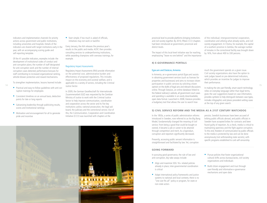indicators and implementation channels for priority actions across government and public institutions, including universities and hospitals. Details of the indicators are shared with target institutions early in the year, with an accompanying scoring guide and self-reporting template.

Of the 41 possible indicators, examples include: the development of institutional codes of conduct and anti-corruption plans; the number of staff designated for anti-corruption work and the number of internal corruption cases detected; performance bonuses for staff contributing to increased organizational ranking, whistle-blower protection and reward mechanisms.

To strengthen implementation, lessons learned include:

- Practical and easy-to-follow guidelines with anti-corruption trainings for employees
- Consistent timelines on an annual basis, deduction points for late or long reports
- Galvanizing leadership through publicizing results, scores and institutional rankings
- **Motivation and encouragement for all to generate** pride and incentive

Start simple; if too much is asked of officials, initiatives may not work or backfire

Every January, the AIA releases the previous year's results to the public and media. ACRC then provides consulting services to underperforming institutions, while awarding champions with overseas trainings, for example.

#### Regulatory Impact Assessments

Regulatory Impact Assessments (RIA) provide information on the potential cost, administrative burden and effectiveness of proposed regulations. This includes impact on the economy and societal welfare, and is applicable to a variety of sectors, including the Criminal Justice Sector.

In 2009, the German Geselleschaft für Internationale Zusammenarbeit (GIZ) was requested by the Zambian Ministry of Justice to work with the Criminal Justice Sector to help improve communication, coordination and cooperation across the sector and its five key institutions: police, national prosecution, the legal aid board, the judiciary and the correctional service. Out of this, the Communication, Cooperation and Coordination Initiative (CCCI) was launched with chapters at the

provincial level to provide platforms bringing institutions and civil society together. By 2010, fifteen CCCI chapters had been introduced at government, provincial and district levels.

The impact of this local-level initiative was far reaching, emphasizing "leave no one behind" and the importance

#### **4) E-GOVERNANCE PORTALS**

#### Egov.am and DataLex, Armenia

14 15 opinion on the drafts of legal acts and relevant discussions In Armenia, an e-governance portal (Egov.am) assists in obtaining government services (such as licenses for properties and businesses) and aims to increase citizen participation in public services by soliciting citizen online. Through DataLex, an online database linked to the Federal Judiciary's website, all government court cases and spending is available in an easily downloadable, open data format. Launched in 2008, DataLex provides a budgetary tool that allows the user to search how

much the government spends on a given issue. Civil society organizations also have the option to rank judges based on pre-determined indicators, which provides an incentive for judges to improve their performance.

of the individual; intergovernmental cooperation, coordination and utilizing what already works, and civil society engagement. In Choma, for example, the capital of a southern province in Zambia, the average number of inmates in the correctional facility was brought down

by 16%, from about 400 to 330 persons.

In making the site user-friendly, smart search technology relies on everyday language rather than legal terms, gives the user suggestions based on case information, provides symbols to help distinguish between case types, includes infographics and places precedent-setting cases at the top of any given search.

#### **5) CIVIL SERVICE REFORM AND THE MEDIA AS A 21ST CENTURY WATCHDOG**

In the 1850s, a series of public administration reforms introduced in Sweden, now referred to as the Big Bang Model, fundamentally changed the meaning of civil service. From being a good that could be bought or owned, it became a job or career to be attained through competition and merit. As a byproduct, corruption and nepotism significantly decreased.

Presently, accessing public servant information is straightforward and facilitated by law. Yet, corruption

#### **GOING FORWARD**

In pursuing good governance, the rule of law and anti-corruption, key take-aways include:

- Align and maximize SDG 16+ related policies already in place; inter-governmental coordination is critical
- Adapt international policy frameworks and justice systems to national and local contexts; there is no "one size fits all" policy or program, for state or non-state actors

persists. Swedish businesses have been accused of bribing public officials abroad, and public officials in Sweden have accepted bribes for contracts and been found guilty of nepotism. As a check, media is critical to maintaining openness and the fight against corruption. To this end, freedom of communication by public officials to the media is protected by law and can be done anonymously (not withstanding state secrets), with specific programs established to curb self-censorship.

- **Pursue policies that foster organizational** cultural shifts across bureaucracies, civil society organizations and individuals
- **Build citizen engagement and trust through** user-friendly and informative e-governance mechanisms and open data

# **THEFT RETT 18 SALARA ASAAS** 11-1-1-1-1-1-1-1-**IRAIDEA**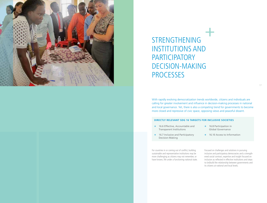

STRENGTHENING INSTITUTIONS AND **PARTICIPATORY** DECISION-MAKING **PROCESSES** 

With rapidly evolving democratization trends worldwide, citizens and individuals are calling for greater involvement and influence in decision-making processes in national and local governance. Yet, there is also a competing trend for governments to become more closed and repressive of civic space, opposing views and peaceful dissent.

#### **DIRECTLY RELEVANT SDG 16 TARGETS FOR INCLUSIVE SOCIETIES**

- + 16.6 Effective, Accountable and Transparent Institutions
- + 16.8 Participation in Global Governance

+ 16.10 Access to Information

+ 16.7 Inclusive and Participatory Decision-Making

For countries in or coming out of conflict, building sustainable and representative institutions may be more challenging as citizens may not remember, or have known, life under a functioning national state.

Focused on challenges and solutions in pursuing inclusive and participatory democracies and a strength ened social contract, expertise and insight focused on inclusion as reflected in effective institutions and steps to (re)build the relationship between governments and its citizens at national and local levels.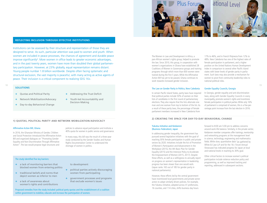

#### **REFLECTING INCLUSION THROUGH EFFECTIVE INSTITUTIONS**

Institutions can be assessed by their structure and representation of those they are designed to serve. As such, particular attention was paid to women and youth. When women are included in peace processes, the chances of agreement and durable peace improve significantly<sup>6</sup>. More women in office leads to greater economic advantages, and in the past twenty years, women have more than doubled their global parliamentary participation. However, at 23% globally, equal representation remains distant. Young people number 1.8 billion worldwide. Despite often facing systematic and structural exclusion, the vast majority is peaceful, with many acting as active agents of peace. Their inclusion is a critical component to realizing SDG 16+.

#### **SOLUTIONS**

- + Quotas and Political Parity
- + Addressing the Trust Deficit
- + Network Mobilization/Advocacy
- + Day-to-day Behavioral Change
- + Youth-led Accountability and Decision-Making

#### **1) QUOTAS, POLITICAL PARITY AND NETWORK MOBILIZATION/ADVOCACY**

#### Affirmative Action Bill, Ghana

In 2016, the Ghanaian Ministry of Gender, Children and Social Protection introduced the Affirmative Action Bill and organized dialogues on "Promoting Gender Equality and Non-Discrimination Through Affirmative Action". The law would propose legal structures and

policies to advance equal participation and institute a 40% quota for women in public service and governance.

In many ways, this bill was the result of a three-year study conducted by the Gender Studies and Human Rights Documentation Center to understand the shortage of women in politics.

#### The study identified five key barriers:

- + a lack of monitoring barriers that blocked women from entering politics
- + traditional beliefs and norms that depict women as inferior to men
- + a lack of awareness about women's rights and contributions
- to development
- + political parties actively discouraging women from participating
- + government processes and programs that exclude women's issues

Proposed remedies from the study included: political party quotas and the establishment of a coalition within government to mobilize, educate and increase the participation of women.

The Women in Law and Development in Africa, a pan-African women's rights group, helped to promote the law. Since 2010, this group, in cooperation with women's organizations in Ghana have established 28 Coalitions of Women in Governance groups and training programs through which more than 600 women were trained during the first 5 years. While the Affirmative Action Bill has yet to be passed, Ghana continues to work towards increased gender inclusion.

#### The Law on Gender Parity in Politics, New Caledonia

In certain Pacific Island States, parity laws have required that political parties include 50% of women on their lists of candidates in the first round of parliamentary elections. They also require that the lists alternate one man and one woman from top to bottom of the list. As a result of these parity laws, the percentage of female parliament members increased in New Caledonia from

17% to 46%, and in French Polynesia from 12% to 48%. New Caledonia has one of the highest rates of female participation in parliament, and a higher position on the United Nations Human Development Index in comparison to several other Pacific Island states with lower levels of gender parity in parliament. Such laws may also provide a mechanism for women to pivot from community leadership roles to national political roles.

#### Gender Equality Councils, Georgia

In Georgia, gender equality and anti-discrimination laws, along with Gender Equality Councils in every municipality, promote women's rights and incentivize female participation in political parties. While only 16% of parliament is comprised of women, this is a five-percentage point increase from the last election in 2016.

#### **2) CREATING THE SPACE FOR DAY-TO-DAY BEHAVIORAL CHANGE**

#### Yukatsu Initiative and Keidanren (Business Federation), Japan

In addressing gender inequality, the government has pursued several legislative initiatives with the goal of reaching 30% female participation in public and private sectors by 2020. Initiatives include the Act of Promotion of Women's Participation and Advancement in the Workplace (2015), the 4th Basic Plan for Gender Equality (2015) and the Intensive Policy to Accelerate the Empowerment of Women (2015, 2017). Despite these efforts, as well as a willingness to annually report on progress on women's representation in leadership, progress has been slower than one would wish. (Japan ranks 165 out of 185 for gender parity in national parliaments).

However, these efforts led by the central government have incentivized local governments and private sector actors to adopt similarly-driven policies. For example, the Yukatsu initiative, adopted across 41 prefectures, 16 counties, and 114 cities, shifts business day hours

forward to 8:00 am-5:00 pm to address concerns around work-life balance. Similarly, in the private sector, Keidanren member companies offer trainings, mentorship and networking programs at the management level in science, technology, engineering and mathematics fields. While slow, quantitative data<sup>7</sup> (as gathered by White & Case LLP and for the 16+ Forum Annual Showcase) has indicated progress for Japan at local and national levels in reaching its 30% goal.

Other critical factors to increase women's political participation include violence reduction policy and programming, as well as improved tracking and reporting, addressed in subsequent sections.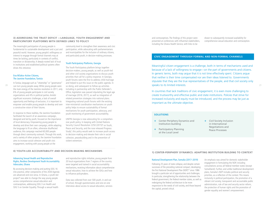#### **3) ADDRESSING THE TRUST DEFICIT —LANGUAGE, YOUTH ENGAGEMENT AND PARTICIPATORY PLATFORMS WITH DEFINED LINKS TO POLICY**

The meaningful participation of young people is fundamental to sustainable development and a just and peaceful world. However, young people's willingness or interest to engage through formal channels may at times be lacking, particularly in contexts of conflict, transition or dictatorship. A deeply-rooted lack of trust in institutions and established political systems often drives this reticence.

#### Ena M3aha–Active Citizens, The Jasmine Foundation, Tunisia

In Tunisia, language such as "citizenship" or "governance" the main energy of the Jasmine revolution in 2011, only 6% of young people participate in civil society organizations and 4% in political parties. Amidst significant economic challenges, a lack of overall opportunity and feelings of exclusion, it is important to empower and enable young people to develop and own a constructive vision of their futures.

In response to these realities, the Jasmine Foundation facilitated the launch of an awareness campaign, designed and led by youth, focused on the importance of local democracy. Empowering young people to develop and drive their own campaign, while adapting the language to fit an often, otherwise disaffected audience, this campaign reached 60,000 people through direct community outreach. Through this work, and a variety of other projects, the Jasmine Foundation aims to increase social cohesion and youth civic engagement, working with young people at the

community level to strengthen their awareness and civic participation, while advocating with parliamentarians and municipalities for the inclusion of ordinary citizens, and particularly youth, in decision-making processes.

#### Youth Participatory Platforms, Georgia

The Youth Participatory platform brings together decision-makers, young people, as well as youth-led and other civil society organizations to discuss youth priorities that call for a policy response. In Georgia, youth forums were the first to address child marriage and helped to put this issue on the public agenda. In so doing, and subsequent to follow-up activities including in partnership with the Public Defender's Office, legislation was passed stipulating the legal age of marriage (2016, 2017), as well as integration of related prevention strategies into national plans. Integrating national youth forums with the existing inter-ministerial coordination mechanisms on youth policy helps to ensure sustainability of formal mechanisms for youth participation, advocacy, and youth monitoring of government accountability.

UNFPA Georgia is now advocating for a comprehensive youth policy. In keeping with United Nations Security Council Resolution 2250 (2015)<sup>8</sup> on Youth, Peace and Security, and the now released Progress Study<sup>9</sup>, this policy would seek to increase youth access to decision-making and elevate their role in social cohesion, peacebuilding and in the prevention of violent extremism.

#### **4) YOUTH-LED ACCOUNTABILITY AND DECISION-MAKING MECHANISMS**

#### Advancing Sexual Health and Reproductive Rights, Restless Development Youth Accountability Advocates, Ghana

By accessing decision-making and putting SDG 16 into practice, other components of the 2030 Agenda are advanced and vice versa. In Ghana, a youth-led project<sup>9</sup> was able to change the way young people access comprehensive sexual education and contraceptives, addressing SDG 3 on Health and SDG 5 on Gender Equality. Through a sexual health

and reproductive rights initiative, young people from 20 local organizations from 7 regions of the country were targeted and trained in social accountability mechanisms, receiving information about comprehensive sexual education, how to achieve the SDGs and how to influence policymakers.

Data was collected from over 500 youth, in and out of school, through questionnaires and one-on-one interviews about access to sexual education, services

and contraceptives. The findings of this project were presented at conferences with influential stakeholders, including the Ghana Health Service, with links to be

drawn to subsequently increased availability for comprehensive sexual education and contraception.

#### **CIVIC ENGAGEMENT THROUGH FORMAL AND NON-FORMAL CHANNELS**

 $^{20}$  can turn young people away. While young people were so doing, and subsequent to follow-up activities  $^{21}$ Meaningful citizen engagement is a challenge, both in terms of mechanisms used and because of a lack of willingness to engage—on the part of governments and citizens. In generic terms, both may argue that it is not time effectively spent. Citizens argue that neither is their time compensated nor are their ideas listened to. Governments stipulate that they are the true representatives of the people, and that civil society only speaks to its limited interests.

> In countries that lack traditions of civic engagement, it is even more challenging to create trustworthy and effective public and state institutions. Policies that strive for increased inclusivity and equity must be introduced, and the process may be just as important as the ultimate objective.

#### **SOLUTIONS**

- + Center-Periphery Dynamics and Institution-building
- + Participatory Planning at the Local Level
- + Civil Society Inclusion in International Negotiations and Peace Processes

**1) CENTER-PERIPHERY DYNAMICS: ADAPTING INSTITUTION BUILDING TO CONTEXT**

#### National Development Plan, Somalia (2017–2019)

Following 25 years of state collapse, and despite certain successes of the preceding national compact, developing the first National Development Plan (NDP)<sup>10</sup> since 1986 brought a particular set of opportunities and challenges. In particular, strengthening the relationship between the federal government, the federal member states, as well as redesigning the federal architecture to be more responsive to the needs of civil society, and those beyond the capital, proved critical.

An emphasis was aimed for domestic stakeholder engagement in formulating the NDP, including consultations across all federal member states (except Somaliland). Further, and unlike traditional development plans, Somalia's NDP includes political and security priorities, as a reflection of the context. This means inclusivity in political participation, the promotion of a vibrant civil society, transparent and accountable public administration, rule of law and security sector reform, the protection of human rights and the promotion of gender equality and women's empowerment.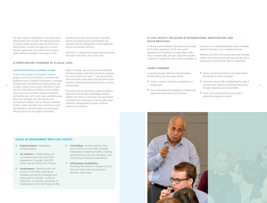The State is being re-established in a new three-tiered federal system which includes the federal government of Somalia, Federal Member States and district level administration. However, and again due to context, Somalia's government has to perform key functions while building its institutions. The process is multitracked and non-linear, with permanent interaction between the political process (reconciliation and settlement) and the development of robust legislative, judicial and executive machinery.

Out of this, it is hoped that an ongoing electoral process will result in one person, one vote by 2020.

#### **2) PARTICIPATORY PLANNING AT A LOCAL LEVEL**

#### Social Inclusion Advisory Committees, Georgia

As part of the Georgia-Czech Republic Transition program, Social Inclusion Advisory Committees were established across 4 Georgian municipalities. Committees included senior local government representatives such branches of the Ministry of Health and Social Affairs; active social service providers representing different vulnerable groups, and in some cases, vulnerable groups themselves. (Georgian civil code requires every municipality to establish such an advisory committee). Further, a needs assessment was conducted to ensure that funding for vulnerable groups was being spent effectively across the four target municipalities.

Based on findings, advisory committees established municipal strategies, action plans and calls for proposals for social inclusion. As a result, 17 new social services were introduced in areas where they had never existed. (Funding had been previously allocated, but no services were provided).

This process was accompanied by capacity-building to help ensure that the same methodology would be applied in the future. In some cases, local government committed to the continuation of services after project completion, demonstrating a change in attitude, investment and behavior.

#### **3) CIVIL SOCIETY INCLUSION IN INTERNATIONAL NEGOTIATIONS AND PEACE PROCESSES**

In Ukraine, recommendations formulated by civil society for the Minsk agreements (2014) were used in negotiations by the Ministry of Foreign Affairs. With a focus on human rights, particular stipulations included: a rejection of impunity for criminal action, prohibition of

#### **GOING FORWARD**

In pursuing stronger institutions and participatory decision-making, key take-aways include:

- **Pursue co-creation and citizen participation as a** strategic goal
- **Ensure that national-level legislation is institutionally** supported at sub-national and local levels

an election in non-controlled territories, and the immediate release of detainees in non-controlled territories.

While less than 50% of the national action plan has been fulfilled, civil society inclusion and input has been key to advancing the issue of human rights in negotiations.

- Advance and protect policies for increased political participation of women and youth
- ncharacted senso-bead government representatives such the provided). The vere provided were provided). The versus provided the strategic goal strategic goal and the strategic and accountability and accountability and accou Incentivize cultural shifts by highlighting the value of increased trust, cohesion and enhanced democracy through transparency and accountability
	- $\blacksquare$  Invest in civil society networks, particularly in unfriendly or oppressive contexts

#### **LEVELS OF ENGAGEMENT WITH CIVIL SOCIETY**

- + **Empowerment**—Delegation of responsibility.
- + **Co-creation**—Collaborating and co-creating with active and direct engagement. Example: the OGP Forum and the Action Plan Process.
- + **Involvement**—Working with civil society to formulate alternatives, evaluate and identify strategies and action points. Example: a series of interactive, civil society workshops in development of the OGP National Plan.
- + **Consulting**—Actively seeking input from citizens or civil society. Example: Participatory budgeting models, including priority-setting, resource allocation, and monitoring of resource expenditure.
- + **Information Availability** Providing information to citizens so that they can make informed decisions. Example: Open Data.



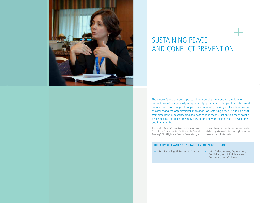

# SUSTAINING PEACE AND CONFLICT PREVENTION

The phrase "there can be no peace without development and no development without peace" is a generally accepted and popular axiom. Subject to much current debate, discussions sought to unpack this statement, focusing on local-level realities of conflict and the organizational implications of sustaining peace, including a shift from time-bound, peacekeeping and post-conflict reconstruction to a more holistic peacebuilding approach, driven by prevention and with clearer links to development and human rights.

The Secretary-General's Peacebuilding and Sustaining Peace Report<sup>11</sup>, as well as the President of the General Assembly's 2018 High-level Event on Peacebuilding and in a re-structured United Nations.

Sustaining Peace continue to focus on opportunities and challenges in coordination and implementation

#### **DIRECTLY RELEVANT SDG 16 TARGETS FOR PEACEFUL SOCIETIES**

- + 16.1 Reducing All Forms of Violence + 16.2 Ending Abuse, Exploitation,
	- Trafficking and All Violence and Torture Against Children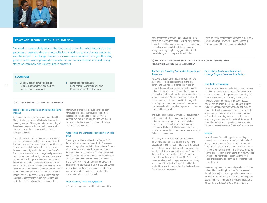

#### **PEACE AND RECONCILIATION: THEN AND NOW**

The need to meaningfully address the root causes of conflict, while focusing on the processes of peacebuilding and reconciliation, in addition to the ultimate outcomes, was the subject of exchange. Policies of inclusion were prioritized, along with scaling positive peace, working towards reconciliation and social cohesion, and addressing stalled or seemingly non-existent peace processes.

#### **SOLUTIONS**

- + Local Mechanisms: People to People Exchanges, Community Forums and Dialogues
- + National Mechanisms: Leadership, Commissions and Reconciliation Accelerators

#### **1) LOCAL PEACEBUILDING MECHANISMS**

#### People to People Exchanges and Community Forums, **Thailand**

A history of conflict between the government and the Malay Muslim population in Thailand's deep south is driven by a range of issues, stemming from a policy of forced assimilation that has resulted in incarceration, ethnic killings (on both sides), Marshall law and emergency decrees.

A lack of progress in official negotiations, worsening levels of development (such as poverty and job loss), fear and insecurity have made it increasingly difficult to convince individuals to participate in peacebuilding. However, community level initiatives by the People's Empowerment Foundation encourage local populations, particularly women and youth, to engage in the peace process, provide their perspectives, and participate in forums with the wider community and academia. For those who cannot travel to attend Peace Forums at the university level, this discourse is brought directly to local communities through the establishment of "Academic People Centers". The centers were founded with the intention of strengthening community learning and leadership in peace talks and reconciliation efforts.

#### Peace Forums, The Democratic Republic of the Congo (DRC)

Operating in multiple locations in the Eastern DRC, the United Nations Association of the DRC works on peacebuilding and reconciliation through Peace Forums, which attempt to empower local communities in decision-making. These forums offer a framework and physical space for discussion amongst local communities, UN Peace Operations representatives from MONUSCO (the UN's Peacekeeping Operation in the DRC), and government representatives to discuss best approaches to peacebuilding. Out of these forums, an education manual was produced and incorporated into the curriculum at a local primary school.

#### Youth Dialogues, Serbia and Kyrgyzstan

In Serbia, young people from different communities

come together to foster dialogue and contribute to conflict prevention. Discussions focus on the promotion of gender equality among young men in their communities. In Kyrgyzstan, youth-led dialogues work to strengthen young people's engagement in interethnic peacebuilding and in the prevention of violent

extremism, while additional initiatives focus specifically on supporting young women and girls engaged in peacebuilding and the prevention of radicalization.

#### **2) NATIONAL MECHANISMS: LEADERSHIP, COMMISSIONS AND "RECONCILIATION ACCELERATORS"**

#### The Truth and Friendship Commission, Indonesia and Timor-Leste

26 26 27 **People Exchanges Community Leadership Commissions and** 27 **Timor-Leste and Indonesia turned to a model of the community of the community of the community of the control of the control of the control of the cont** Following a history of conflict and occupation, and through notable political leadership at the top, reconciliation which prioritized peacebuilding and nation-state building, with the aim of developing a constructive bilateral relationship and healing divisions within communities. Strengthening democratic and institutional capacities were prioritized, along with involving local communities from both countries, as mechanisms by which sustainable peace and reconciliation could be achieved.

> The Truth and Friendship Commission<sup>12</sup>, established in 2005, consists of fifteen commissions, seven from Indonesia and eight from Timor-Leste, including government representatives, representatives of academic institutions, NGOs and people directly involved in the conflict. It continues to meet annually to follow up on commitments.

This policy of reconciliation and peace between Timor-Leste and Indonesia has led to progressive cooperation in political, social and cultural matters, as well as the economy and defense. Indonesia co-sponsored the UN General Assembly resolution<sup>13</sup> to include Timor-Leste as a full member of the UN and also advocated for its inclusion into ASEAN. While certain issues remain quite challenging and sensitive, notably around transitional justice, the political will of the leadership to look forward rather than backwards was fundamental to the process.

#### Reconciliation Accelerators: Educational Exchange Programs, Trade and Joint Projects

#### Timor-Leste and Indonesia

Reconciliation accelerators can include cultural proximity, mixed families and kinship, a history of co-existence, as well as educational exchange and trade. Around 7,000 Timor-Leste students are currently studying at the university level in Indonesia, while about 50,000 Indonesians are living in Dili. In addition to student exchanges, cross border trade was noted as playing an important role in the reconciliation process between the two countries. Indonesia is the main trading partner of Timor-Leste, providing basic goods such as food, petroleum, gas and construction material. State-owned, Indonesian enterprises or operations have also been involved in the development of Timor-Leste's infrastructure.

#### Georgia

Reconciliation efforts with populations residing in annexed territories focus on extending the benefits of Georgia's development reform, including in terms of healthcare and education. Increased diploma recognition by Georgia for students living in the annexed territories, and the establishment of professional training strategies have aimed to incentivize engagement of youth in educational programs and serve as a confidence-building mechanism.

People to people contact, community-level reconciliation and confidence-building have been further pursued through joint projects on energy and the environment. Despite 20% of the country remaining under occupation, Georgia remains committed to a peaceful resolution of the conflict and dialogue around mutual interests.

Intercultural exchange dialogues have also been introduced to educate individuals on collective peacebuilding and peace processes. (While national-level peace talks may be effectively stalled, civil society efforts continue to be made at the local level among communities.)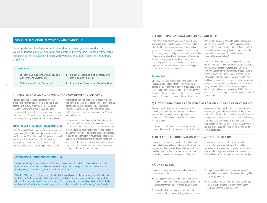#### **VIOLENCE REDUCTION, PREVENTION AND OWNERSHIP**

The importance of violence reduction, and in particular gender-based violence, was highlighted along with national and community ownership, utilizing frameworks and policies that are already in place and working, and, in all processes, the primacy of politics.

#### **SOLUTIONS**

- + Targeted Campaigns, Advocacy and Government Champions
- + Flexible Financing and Foreign and Development Policies
- + National and Local Ownership
- + Improving Operational Coordination

#### **1) TARGETED CAMPAIGNS, ADVOCACY AND GOVERNMENT CHAMPIONS**

Peaceful societies cannot be achieved without eliminating violence against women and girls. Yet, according to a 2017 report by the UN Statistics Division<sup>14</sup>, nearly one of five women and girls experienced physical violence from an intimate partner in the previous 12 months. Forty-nine countries do not have laws protecting women from domestic violence.

#### Let Girls be Girls! Campaign, The Talitha Project, Tonga

In 2009, a local NGO focused on the empowerment of women and girls, the Talitha Project, conducted a survey that found that 77% of women in Tonga faced physical, sexual or verbal abuse. Though the 2013 Family Protection Act makes domestic violence a crime punishable by up to 12 months in prison with repeat

offenders facing up to three years in prison, violence was pervasive behind close doors. Further compounding issues around gender equality and gender-based violence, the Births, Deaths and Registration Act of 1926 allows for children to be married as of 15 with parental consent.

In response to such challenges, the Talitha Project, in cooperation with the Ministry of Justice, launched the Let Girls be Girls! campaign in 2017 to lift the legal age of marriage to 18. Also highlighting Tonga's signing of the Convention of the Rights of the Child, this awareness campaign gained traction in households across Tonga and caught international attention, spurning mobilization at all levels. Through such mobilization, advocacy and cooperation, the status quo for girls and young women in Tonga is that much closer to change.

#### **OPERATIONALIZING THE CONTINUUM**

The Peacebuilding Commission was established in December 2005 to bridge the gap between peace operations and agreements handled by the UN Security Council and post-conflict reconstruction and development, as addressed by the UN Development System.

With the 2015 High-Level Reviews and the 2016 Sustaining Peace Resolutions, coupled with Secretary-General Guterres' reform agenda, his Sustaining Peace and Peacebuilding report, and the President of the General Assembly High-level Event on Sustaining Peace, the question of how this gap is to be better bridged and operationalized continues to be addressed and evolve. (See references, Sustaining Peace Report).

#### **2) PRIORITIZING NATIONAL AND LOCAL OWNERSHIP**

Processes must be nationally and locally-owned. Ownership includes more than the political leadership, but rather all parts of the country. As governments come and go, grassroots acceptance and ownership of peacebuilding efforts strengthens continuity of process and the possibility of long-term sustainability. As highlighted by Timor-Leste, while acknowledging the role of the international community and the UN peacekeeping mission in the initial steps towards self-rule, defining the peacebuilding process as, by and for Timorese was critical.

#### The New Deal

Originally conceived by the International Dialogue on Peacebuilding and Statebuilding—a partnership of donors, the g7+ countries of conflict-affected states and local and international civil society—the New Deal for Engagement in Fragile States<sup>15</sup> is the first set of principles to guide international engagement in conflict-affected donors, the a<sub>1</sub>+ countries of conflict-affected states and the government. Particularly for states coming out of 29<br>donors, the a<sub>1</sub>+ countries of conflict-affected states and the government. Particularly for states comin

states. It has five peace and state-building goals which can also be seen in SDG 16 and the Sustaining Peace Agenda. These goals include: Legitimate Politics (with a focus on inclusion), Security, Justice, Economic Foundations, and Revenues and Services (with a focus on accountable service delivery).

Priorities in peace and state-building vary by country, sub-national context and time. In Somalia, for example, the New Deal Compact<sup>16</sup> was focused on holding elections and identifying new constitutional priorities. In Liberia, a country that had been out of conflict for over 10 years but which had not yet reached stability, focus had been on reconciliation between the two major ethnic groups and decentralization to increase people's trust in conflict, national and local ownership of SDG 16+ may be central to peace and prosperity and the cornerstone of human rights.

#### **3) FLEXIBLE FINANCING AS REFLECTIVE OF FOREIGN AND DEVELOPMENT POLICIES**

Act fast, stay engaged was a repeated motto for financing. Humanitarian budgets are skyrocketing. Without a focus on vulnerable populations and fragile and conflict-affected countries, this trajectory will not change.

For donors, circulating clearly articulated internal documents among the Ministry of Foreign Affairs and

Development Agencies that explain how funds are to be spent, why and with what strategy is key. If the diplomatic and the political track is separated from the development track, resources are spent less efficiently and effectively, with flexibility and availability jeopardized. Without doing so, recipient countries may run the risk of becoming "aid orphans" with untenable expectations.

#### **4) OPERATIONAL COORDINATION-WITHIN A RESTRUCTURED UN**

Improved coordination across the UN's pillars and their stakeholders will require improved incentives for long-term and comprehensive conflict prevention and peacebuilding. Further, coordination will become increasingly necessitated as responsibilities are

delegated to managers in the field. This includes across stakeholders, as well as within the UN system—resident coordinators, special representatives, peace and development advisors, the Secretariat, as well as UNDP, other UN agencies, the World Bank, etc.

#### **GOING FORWARD:**

In pursuit of prevention and sustainable peace, key take-aways include:

- **Leverage simultaneous community mobilization,** national and international advocacy and government support for targeted policy or legislative change
- Strengthen links between local and national prevention efforts, peacebuilding and peace processes
- **Emphasize confidence-building measures and** reconciliation accelerators, implemented alongside formal agreements
- **Activate regional or international bodies (not just** those directly affected by a conflict) to support peace and reconciliation processes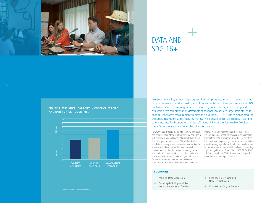

# DATA AND  $SDG$  16+

**FIGURE 1: STATISTICAL CAPACITY IN CONFLICT, FRAGILE AND NON-CONFLICT COUNTRIES**



Measurement is key to tracking progress. Tracking progress, in turn, is key to targeted policy interventions and to holding countries accountable to their performance in SDG implementation. By tracking data and measuring impact through monitoring and evaluation, we can draw upon grassroots experiences to achieve large-scale structural change. Innovative measurement frameworks around SDG 16+ further highlighted the attitudes, institutions and structures that can help create peaceful societies. According to the Institute for Economics and Peace<sup>17</sup>, about 85% of the Sustainable Development Goals are associated with the drivers of peace.

However, against this backdrop of possibility, pervasive challenges remain. At the forefront are data gaps and a lack of capacity among National Statistics Offices (NSOs) and other government bodies. Official data is often insufficient, incomplete or inconsistent across time or administrative level, further hindered by weak or non-existent coordination. Again, according to the Institute for Economics and Peace, out of the 22 indicators it follows (SDG 16 has 23 indicators), eight have data for less than 50% of countries and only seven have data for more than 90% of countries. (See Figure 1.)

Indicators such as violence against children, sexual violence and underreporting of violence are comparable for less than 40% of countries. Only 30% of countries have dedicated budgets to gender statistics, exacerbating gaps in sex-segregated data. In addition, the challenge of conflict of interest was noted for indicators measuring topics as significant as "rule of law" (SDG 16.3), SDG 16.5 on corruption or SDG 16.10 on the killing and detention of human rights activists.

31

#### **SOLUTIONS**

- + Making Data Accessible
- + Capacity-Building and the Voluntary National Review
- + Reconciling Official and Non-Official Data
- + Contextualizing Indicators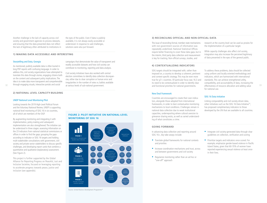Another challenge is the lack of capacity across civil society and government agencies to process datasets, and ensuring that the data presented does not reflect the lack of legitimacy often attributed to institutions in

the eyes of the public. Even if data is publicly available, it is not always easily accessible or understood. In response to said challenges, solutions were also put forward.

campaigns that demonstrate the value of transparent and readily accessible datasets and how civil society can contribute to monitoring, reporting and data analysis.

Civil society initiatives have also worked with central election committees to identify data collection discrepancies, either due to clear corruption or human error and irregularities in the number of votes vs. ballots available

at various levels of sub-national government.

#### **1) MAKING DATA ACCESSIBLE AND INTERESTING**

#### Storytelling and Data, Georgia

As mentioned, publicly available data is often buried in long PDF reports with confusing language. In order to address this, civil society organizations have attempted to translate this data through stories, engaging citizens both on the content and subsequent policy implications. The idea is to make data more transparent and comprehensible through engaging visuals, interactive portals and social

#### **2) NATIONAL LEVEL CAPACITY-BUILDING**

#### UNDP National Level Monitoring Pilot

Looking towards the 2019 High-Level Political Forum and the Voluntary National Review, UNDP is supporting national-level monitoring of SDG 16 in six countries, all of which are members of the OGP.

By augmenting monitoring and integrating it with implementation, policy-making and subsequent implementation are also strengthened. The initiative can be understood in three stages: assessing information on the 23 indicators from national statistical commissions or offices in order to find the gaps; grouping the gaps according to indicator or SDG 16 targets and holding multi-stakeholder consultations with government, civil society and private sector stakeholders to discuss specific challenges, and developing report cards that combine a quantitative and qualitative (explanatory) assessment. (See Figure 2).

This project is further supported by the Global Alliance for Reporting Progress on Peaceful, Just and Inclusive Societies, focused on leveraging reporting to accelerate progress towards peace, justice and inclusion (see appendix).

**MONITORING OF SDG 16 FIGURE 2: PILOT INITIATIVE ON NATIONAL-LEVEL** 



Source: United Nations Development Programme<sup>18</sup>

#### **3) RECONCILING OFFICIAL AND NON-OFFICIAL DATA**

The issue of reconciling formal, member state mechanisms with non-government sources of information was repeatedly underlined. National Statistical Offices require better financing to cover these data gaps, but in the interim, third party data collection and measurement is key for tracking. Non-official surveys, studies, and

**4) CONTEXTUALIZING INDICATORS**

research at the country level can be used as proxies for the implementation of a particular target.

While capacity challenges also affect civil society, integration may also increase the perceived legitimacy of data presented in the eyes of the general public.

SDG targets should be integrated with, rather than imposed on, a country to develop a coherent, pertinent and context-specific strategy. This may be even more true for g7+ countries. Of particular focus was 16.3 and its need to be contextualized in order to identify clear and functional priorities for national governments. To address these problems, data should be collected using uniform and locally-oriented methodology and indicators, which are harmonized with international standards. This can achieve strengthened utility, compatibility, and accountability of data, increasing the 32 Inrough engaging visuals, interactive portais and social at various levels of sub-national government. The same of the same and functional priorities for national governments. The effectiveness of resource allocation an for national use.

#### SDG 16 Data Initiative

Linking comparability and civil society-driven data, other initiatives such as the SDG 16 Data Initiative<sup>19</sup>, has proposed complimentary indicators to those developed by the UN that are available to all countries.

#### **GOING FORWARD**

ing of what constitutes a crime.

New Deal Framework

In advancing data collection and reporting around SDG 16+, key take-aways include:

Countries are encouraged to create their own indicators, alongside those adopted from international frameworks, in order to best contextualize monitoring mechanisms to local conditions. Challenges remain in national data collection due to weak institutional capacities, underreporting where cultural aversion to grievance sharing exists, as well as varied understand-

- Translate global frameworks for national contexts and priorities
- **Increase coordination mechanisms and trust, across** and between governments and civil society
- Regularize monitoring rather than an ad hoc or "one-off" approach
- $\blacksquare$  Integrate civil society-generated data through clear guidelines on collection, verification and scoring
- **Prioritize targets and indicators once scored. For** example, emphasize gender-based violence in Pacific Island States, given that 60-70% of women have reported experiencing sexual violence at least once in their lives.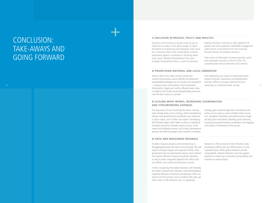# CONCLUSION: TAKE-AWAYS AND GOING FORWARD

#### **1) INCLUSION IN PROCESS, POLICY AND PRACTICE**

Openness and inclusion in process may be just as important as output. From policy design to imple mentation to monitoring and evaluation, there must be a conscious effort to be meaningfully inclusive, particularly against a backdrop of shrinking demo cratic space. National Development Plans and Strategic Development Plans, as well as Voluntary

National Reviews, continue to offer platforms for greater and more systematic stakeholder engagement (with lessons to be learned from the Universal Periodic Review consultation process).

From access to information to peace processes, active and sustainable inclusion is critical to SDG 16+, sustained peace and an improved social contract.

#### **2) PRIORITIZING NATIONAL AND LOCAL OWNERSHIP**

34 35 —leaving certain communities to feel overlooked. Tension often arises when country-owned and country-led processes used to identify and determine peacebuilding strategies are not inclusive nor transparent Particularly in fragile and conflict-affected states, there is evidence that locally-owned peacebuilding processes have the best chance to succeed.

From addressing root causes to community-based, dispute resolution mechanisms and development priorities, efforts to increase national and local ownership, as coherently linked, are key.

#### **3) SCALING WHAT WORKS, INCREASING COORDINATION AND SYNCHRONIZING AGENDAS**

The importance of not reinventing the wheel, utilizing what already exists and is working, while strengthening relevant inter-governmental coordination was reiterated. In Sierra Leone, such an effort was made in developing SDG Thematic Papers, which drew out links in institutional mandates and actors between various sectors. In the review and validation process, civil society, development partners and other key players were invited to contribute.

Similarly, gains made through OGP commitments and actions can be used as a tool to further reduce corrup tion, strengthen institutions and extend access to legal aid and justice mechanisms. Working across ministries, increasing inter-governmental coordination and engaging civil society is fundamental to this process.

#### **4) DATA AND MEASURING PROGRESS**

To better measure progress and incentivize buy-in, (disaggregated) data will need to be prioritized. This will require increased support and capacity of NSOs, other government and non-government sources, more coherent and context-reflective national and global indicators, as well as better integrated datasets from official and non-official, civil society and third party, sources.

Further, recognizing that global indicators will inevitably be limited, national level indicators and methodological capacities behoove investment and attention. NSOs are meant to be the primary source of official SDG data, yet with a total of 230 indicators, this is a significant

demand in a finite amount of time. Therefore, data produced by official and non-official actors is to be capitalized upon. While global indicators provide comparability, national indicators may have greater potential to create buy-in and drive accountability and incentive at national levels.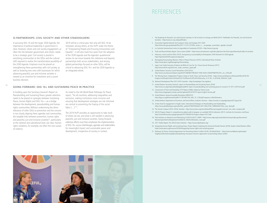### **REFERENCES**

#### **5) PARTNERSHIPS: CIVIL SOCIETY AND OTHER STAKEHOLDERS**

In pursuing SDG 16 and the larger 2030 Agenda, the importance of political leadership in government is clear. However, citizen and civil society engagement, as often the link between government and citizen, needs to be a strategic goal. Civil society is pivotal in sensitizing communities to the SDGs and the cultural shift required to realize the transformative possibility of the 2030 Agenda. Emphasis must be placed on strengthening these partnerships with civil society, as well as fostering new ones with businesses for which advancing peaceful, just and inclusive societies is viewed as an incentive for investment and a sound business decision.

2019 will be a critical year. Not only will SDG 16 be reviewed, among others, at the HLPF under the theme of "Empowering People and Ensuring Inclusiveness and Equality", it will also mark four years from the adoption of the 2030 Agenda and the Agenda's quadrennial review. As we move towards this milestone and beyond, partnerships both across stakeholders, and among global partnerships focused on other SDGs, will be critical to advancing SDG 16+ and the 2030 Agenda as an integrated whole.

#### **GOING FORWARD: SDG 16+ AND SUSTAINING PEACE IN PRACTICE**

In building upon the Secretary-General's Report on Peacebuilding and Sustaining Peace, greater attention needs to be placed on synergies between Sustaining Peace, Human Rights and SDG 16+-as a bridge between the development, peacebuilding and human rights communities. Without undermining the direct relevance of other SDGs to prevention and the concern in too closely aligning these agendas and communities, the tangible links between prevention, human rights and peaceful, just and inclusive societies<sup>20</sup>, particularly at the national and subnational level, are clear. Human rights violations, for example, are often the root causes of violence.

As noted in the UN-World Bank Pathways for Peace report, "for all countries, addressing inequalities and exclusion, making institutions more inclusive and ensuring that development strategies are risk-informed are central to preventing the fraying of the social fabric […]"21.

The 2019 HLPF provides an opportunity to take stock of where we are, and what is still needed in advancing peaceful, just and inclusive societies. Going forward, collective efforts must then emphasize the implementation of SDG 16+ across interlinkages, agendas and stakeholders for meaningful impact and sustainable peace and development, irrespective of country or context.

- 1. The Roadmap for Peaceful, Just and Inclusive Societies, A Call to Action to Change our World (2017). Pathfinders for Peaceful, Just and Inclusive Societies—http://www.cic.nyu.edu/pathfinders
- 2. Association Agenda between the European Union and Georgia 2017-2020 http://infocenter.gov.ge/uploads/files/2017-11/1511272583\_annex\_ii\_-\_eu-georgia\_association\_agenda\_text.pdf
- 3. La Comisión Internacional contra la Impunidad en Guatemala (CICIG)—http://www.cicig.org/
- 4. Truth and Reconciliation Report, Sierra Leone (2004)—http://www.sierraleonetrc.org/index.php/view-the-final-report/download-table-of-contents
- 5. Advocacy: Justice and the SDGs (2015). Transparency, Accountability & Participation (TAP) Network for 2030 Agenda http://tapnetwork2030.org/accesstojustice/
- 6. Reimaginig Peacemaking: Women's Roles in Peace Processes (2015). International Peace Institute https://www.ipinst.org/Reimagining-Peacemaking
- 7. Japan Case Study Summary, Produces by White & Case for 16+ Forum Annual Showcase (2017) http://www.wfuna.org/sites/case\_study\_summary\_japan.pdf
- 8. United Nations Security Council Resolution 2250 (2015) http://www.securitycouncilreport.org/atf/cf/%7B65BFCF9B-6D27-4E9C-8CD3-CF6E4FF96FF9%7D/s\_res\_2250.pdf
- 9. The Missing Peace: Independent Progress Study on Youth, Peace and Security (2018)—https://www.youth4peace.info/system/files/2018-03/ Progress%20Study%20on%20Youth%2C%20Peace%20%26%20Security\_A-72-761\_S-2018-86\_ENGLISH\_0.pdf
- 10. National Development Plan 2017-2019, Somalia—http://extwprlegs1.fao.org/docs/
- 36 37 11. United Nations Secretary-General's report on Peacebuilding and Sustaining Peace (2018) http://www.un.org/en/peacebuilding/pbso/pdf/SG report on peacebuilding and sustaining peace.As issued.A-72-707-S-2018-43.E.pdf
	- 12. Commission of Truth and Friendship (CTF) Report (2008), Indonesia-Timore-Leste http://www.chegareport.net/wp-content/uploads/2014/10/CTF-report-English-Version.pdf
	- 13. United Nations General Assembly Resolution A/RES/57/3 http://dag.un.org/bitstream/handle/11176/168714/A\_RES\_57\_3-EN.pdf?sequence=3&isAllowed=y
	- 14. United Nations Department of Economic and Social Affairs, Statistics Division—https://unstats.un.org/sdgs/report/2017/goal-05/
	- 15. A New Deal for engagement in fragile states. International Dialogue on Peacebuilding and Statebuilding https://www.pbsbdialogue.org/media/filer\_public/07/69/07692de0-3557-494e-918e-18df00e9ef73/the\_new\_deal.pdf
	- 16. The Somali Compact (2014–2016), Somalia—http://www.wfuna.org/sites/default/files/wysiwyg/docs/somali\_new\_deal\_compact.pdf
	- 17. SDG16 Progress Report: A comprehensive global audit of progress on available SDG16 indicators (2017). Institute for Economics and Peace http://visionofhumanity.org/app/uploads/2017/09/SDG16-Progress-Report-2017.pdf
	- 18. Pilot Initiative on National-Level Monitoring of SDG16 (2017). UNDP—http://www.undp.org/content/dam/norway/undp-ogc/documents/ Monitoring%20to%20Implement%20SDG16\_Pilot%20Initiative\_main.pdf
	- 19. 2017 Global Report, The SDG16 Data Initiative—https://www.sdg16report.org/
	- 20. Integrating Human Rights and Sustaining Peace, Project Report: Exploring the Universal Periodic Review (2018). Quaker United Nations Office https://www.quno.org/resource/2018/4/integrating-human-rights-and-sustaining-peace
	- 21. Pathways for Peace, Inclusive Approaches for Preventing Violent Conflict (2018). UN-World Bank— http://www.worldbank.org/en/topic/ fragilityconflictviolence/publication/pathways-for-peace-inclusive-approaches-to-preventing-violent-conflict

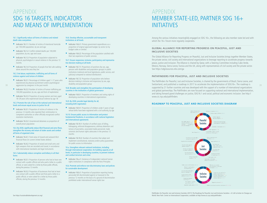## APPENDIX SDG 16 TARGETS, INDICATORS AND MEANS OF IMPLEMENTATION

#### 16.1. Significantly reduce all forms of violence and related death rates everywhere

- Indicator 16.1.1: Number of victims of intentional homicide per 100,000 population, by sex and age
- Indicator 16.1.2: Conflict-related deaths per 100,000 population, by sex, age and cause
- Indicator 16.1.3: Proportion of population subjected to physical, psychological or sexual violence in the previous 12 months
- Indicator 16.1.4: Proportion of people that feel safe walking alone around the area they live

#### 16.2. End abuse, exploitation, trafficking and all forms of violence against and torture of children

- Indicator 16.2.1: Percentage of children aged  $1-17$  years who experienced any physical punishment and/or psychological aggression by caregivers in the past month
- 
- Indicator 16.2.2: Number of victims of human trafficking per 100,000 population, by sex, age and form of exploitation
- Indicator 16.2.3: Proportion of young women and men aged 18–29 years who experienced sexual violence by age 18

#### 16.3. Promote the rule of law at the national and international levels and ensure equal access to justice for all

- Indicator 16.3.1: Proportion of victims of violence in the previous 12 months who reported their victimization to competent authorities or other officially recognized conflict resolution mechanisms
- Indicator 16.3.2: Unsentenced detainees as proportion of overall prison population

#### 16.4. By 2030, significantly reduce illicit financial and arms flows, strengthen the recovery and return of stolen assets and combat all forms of organized crime

- Indicator 16.4.1: Total value of inward and outward illicit financial flows (in current United States dollars)
- Indicator 16.4.2: Proportion of seized and small arms and light weapons that are recorded and traced, in accordance with international standards and legal instruments

#### 16.5. Substantially reduce corruption and bribery in all their forms

- Indicator 16.5.1: Proportion of persons who had at least one contact with a public official and who paid a bribe to a public official, or were asked for a bribe by those public officials, during the previous 12 months
- Indicator 16.5.2: Proportion of businesses that had at least one contact with a public official and that paid a bribe to a public official, or were asked for a bribe by those public officials, during the previous 12 months

#### 16.6. Develop effective, accountable and transparent institutions at all levels

- Indicator 16.6.1: Primary government expenditures as a proportion of original approved budget, by sector (or by budget codes or similar)
- Indicator 16.6.2: Percentage of the population satisfied with their last experience of public services

#### 16.7. Ensure responsive, inclusive, participatory and representative decision-making at all levels

- Indicator 16.7.1: Proportions of positions (by sex, age, persons with disabilities and population groups) in public institutions (national and local legislatures, public service, and judiciary) compared to national distributions
- Indicator 16.7.2: Proportion of population who believe decision-making is inclusive and responsive, by sex, age, disability and population group

#### 16.8. Broaden and strengthen the participation of developing countries in the institutions of global governance

Indicator 16.8.1: Proportion of members and voting rights of developing countries in international organizations

#### 16.9. By 2030, provide legal identity for all, including birth registration

Indicator 16.9.1: Proportion of children under 5 years of age whose births have been registered with a civil authority, by age

#### 16.10. Ensure public access to information and protect fundamental freedoms, in accordance with national legislation and international agreements

- Indicator 16.10.1: Number of verified cases of killing, kidnapping, enforced disappearance, arbitrary detention and torture of journalists, associated media personnel, trade unionists and human rights advocates in the previous 12 months
- Indicator 16.10.2: Number of countries that adopt and implement constitutional, statutory and/or policy guarantees for public access to information

#### 16.a. Strengthen relevant national institutions, including through international cooperation, for building capacity at all levels, in particular in developing countries, to prevent violence and combat terrorism and crime

Indicator 16.a.1: Existence of independent national human rights institutions in compliance with the Paris Principles

#### 16.b. Promote and enforce non-discriminatory laws and policies for sustainable development

Indicator 16.b.1: Proportion of population reporting having personally felt discriminated against or harassed in the previous 12 months on the basis of a ground of discrimination prohibited under international human rights law

## APPENDIX MEMBER STATE-LED, PARTNER SDG 16+ INITIATIVES

Among the various initiatives meaningfully engaged on SDG 16+, the following are also member state led and with which the 16+ Forum more regularly cooperates.

#### **GLOBAL ALLIANCE FOR REPORTING PROGRESS ON PEACEFUL, JUST AND INCLUSIVE SOCIETIES**

The Global Alliance for Reporting Progress on Peaceful, Just and Inclusive Societies brings together Member States, the private sector, civil society and international organizations to leverage reporting to accelerate progress towards peace, justice and inclusion. The Alliance is chaired by Qatar, with a Steering Committee including Cabo Verde, Mexico, Norway, Sierra Leone, Tunisia and the UK, along with representatives of civil society and the private sector. See https://sdgresources.relx.com/ga

#### **PATHFINDERS FOR PEACEFUL, JUST AND INCLUSIVE SOCIETIES**

38 39 Switzerland, and published a roadmap in 2017 to accelerate the implementation of SDG16+. The roadmap is The Pathfinders for Peaceful, Just and Inclusive Societies, is chaired by the governments of Brazil, Sierra Leone, and supported by 21 further countries and was developed with the support of a number of international organizations and global partnerships. The Pathfinders are now focused on supporting national and international implementation, and taking forward grand challenges on justice, SDG16.1 and social, political and economic inclusion. See http:// www.cic.nyu.edu/pathfinders

#### **ROADMAP TO PEACEFUL, JUST AND INCLUSIVE SOCIETIES DIAGRAM**



#### Pathfinders for Peaceful, Just and Inclusive Societies (2017), The Roadmap for Peaceful, Just and Inclusive Societies—A Call to Action to Change our World. New York: Center on International Cooperation, available at http://www.cic.nyu.edu/pathfinders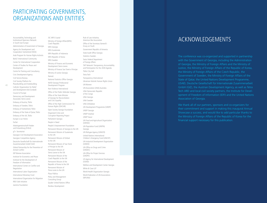## PARTICIPATING GOVERNMENTS, ORGANIZATIONS AND ENTITIES

Accountability, Technology and Institutional Openness Network in South East Europe Administration of Government of Georgia Agency for Development and Cooperation Switzerland (SIDA) Arab Program for Human Rights Activists Bahá'í International Community Center for International Cooperation Center of Studies for Peace and Development Centre for Training and Consultancy Civic Development Agency Civil Service Bureau Civil Society Platform for Peacebuilding and Statebuilding Catholic Organization for Relief and Development Aid (Cordaid) Council of Europe Democracy and Development Associates Sierra Leone Embassy of Austria, Tbilisi Embassy of Sweden, Tbilisi Embassy of Switzerland, Tbilisi Embassy of the State of Qatar, Tbilisi Embassy of the UK, Tbilisi Europe is our Home ForSet Arbeitsgemeinschaft Frieden und Entwicklung (FriEnt) g7+ Secretariat Georgian Civil Development Association Georgian Competition Agency Deutsche Gesellschaft für Internationale Zusammenarbeit GmbH (GIZ) Global Partnership for the Prevention of Armed Conflict IDP Women Association Institute for Economics and Peace Institute for the Development of Freedom of Information International Center on Conflict and Negotiation International Labor Organization International Monetary Fund International Organization for Migration IREX Safe Initiative

Jasmine Foundation

JSC MFO Crystal Ministry of Foreign Affairs(MFA) Czech Republic MFA Georgia MFA Guatemala MFA Republic of Indonesia MFA Republic of Korea MFA Sweden Ministry of Finance and Economic Development Sierra Leone Ministry of Finance Sao Tomé e Principe Ministry of Justice Georgia Namati National Statistics Office Georgia NATO-Georgia Professional Development Program Non-Violence International Office of the Public Defender Georgia Office of the State Minister of Georgia for Reconciliation and Civic Equality Office of the High Commissioner for Human Rights (OHCHR) Open Society Georgia Foundation Organized Crime and Corruption Reporting Project Parliament Georgia People in Need People's Empowerment Foundation Permanent Mission of Georgia to the UN Permanent Mission of Guatemala to the UN Permanent Mission of Kiribati to the UN Permanent Mission of Sao Tomé e Principe to the UN Permanent Mission of Sierra Leone to the UN Permanent Mission of the Czech Republic to the UN Permanent Mission of the Republic of Korea to the UN Permanent Mission of Timor-Leste to the UN Plaza Pública Policy and Management Consulting Group Quaker United Nations Office Restless Development

Rule of Law Initiative, American Bar Association Office of the Secretary-General's Envoy on Youth Government Republic of Armenia State Audit Office Georgia Statistics Sweden Swiss Federal Department of Foreign Affairs TAP Network: Transparency, Accountability and Participation for the 2030 Agenda Tbilisi City Hall Tetra Tech Transparency International Ukrainian Helsinki Human Rights Union UN Women UN Association (UNA) Australia UNA Democratic Republic of the Congo UNA Georgia UNA Sweden UNA Zimbabwe UN Development Programme (UNDP) UNDP Georgia UNDP Istanbul UNDP Seoul UN Food and Agricultural Organization (UNFAO) UN Population Fund (UNFPA) Georgia UN Refugee Agency (UNHCR) United Nations International Children's Emergency Fund (UNICEF) UN Industrial Development Organization (UNIDO) UN Office on Drugs and Crime (UNODC) UN Office for Project Services (UNOPS) US Agency for International Development (USAID) Welfare and Development Center Georgia White & Case LLP World Health Organization Georgia World Federation of UN Associations (WFUNA)

### ACKNOWLEDGEMENTS

The conference was co-organized and supported in partnership with the Government of Georgia, including the Administration of Georgia, the Ministry of Foreign Affairs and the Ministry of Justice, the Ministry of Foreign Affairs of the Republic of Korea, the Ministry of Foreign Affairs of the Czech Republic, the Government of Sweden, the Ministry of Foreign Affairs of the State of Qatar, the United Nations Development Programme, USAID, Deutsche Gesellschaft für Internationale Zusammenarbeit GmbH (GIZ), the Austrian Development Agency, as well as Tetra Tech ARD and local civil society partners, the Institute for Devel opment of Freedom of Information (IDFI) and the United Nations Association of Georgia.

We thank all of our partners, sponsors and co-organizers for their commitment and support in making this inaugural Annual Showcase a success, and would like to add particular thanks to the Ministry of Foreign Affairs of the Republic of Korea for the financial support necessary for this publication.